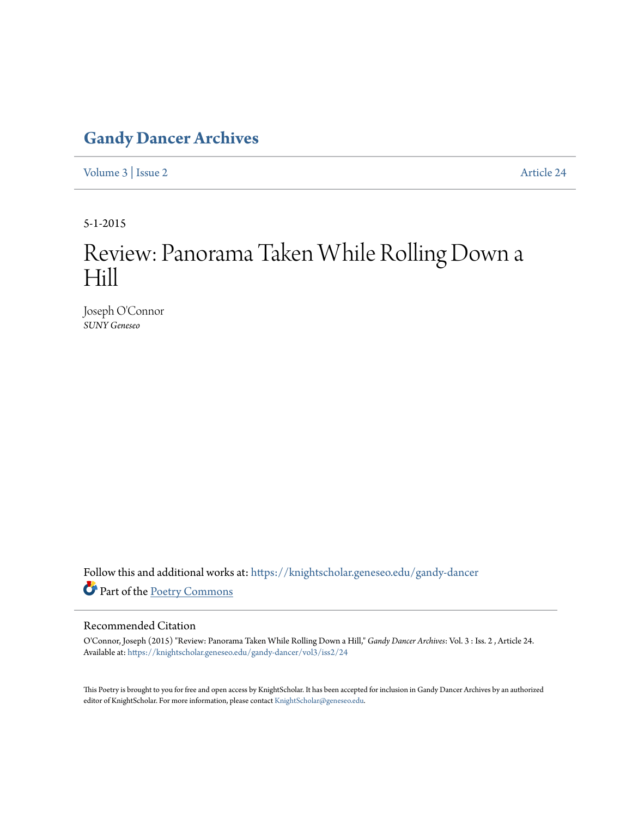## **[Gandy Dancer Archives](https://knightscholar.geneseo.edu/gandy-dancer?utm_source=knightscholar.geneseo.edu%2Fgandy-dancer%2Fvol3%2Fiss2%2F24&utm_medium=PDF&utm_campaign=PDFCoverPages)**

[Volume 3](https://knightscholar.geneseo.edu/gandy-dancer/vol3?utm_source=knightscholar.geneseo.edu%2Fgandy-dancer%2Fvol3%2Fiss2%2F24&utm_medium=PDF&utm_campaign=PDFCoverPages) | [Issue 2](https://knightscholar.geneseo.edu/gandy-dancer/vol3/iss2?utm_source=knightscholar.geneseo.edu%2Fgandy-dancer%2Fvol3%2Fiss2%2F24&utm_medium=PDF&utm_campaign=PDFCoverPages) [Article 24](https://knightscholar.geneseo.edu/gandy-dancer/vol3/iss2/24?utm_source=knightscholar.geneseo.edu%2Fgandy-dancer%2Fvol3%2Fiss2%2F24&utm_medium=PDF&utm_campaign=PDFCoverPages)

5-1-2015

## Review: Panorama Taken While Rolling Down a Hill

Joseph O'Connor *SUNY Geneseo*

 ${\bf Follow~this~and~additional~works~at:~https://knightscholar.geneseo.edu/gandy-dancer}$  ${\bf Follow~this~and~additional~works~at:~https://knightscholar.geneseo.edu/gandy-dancer}$  ${\bf Follow~this~and~additional~works~at:~https://knightscholar.geneseo.edu/gandy-dancer}$ Part of the [Poetry Commons](http://network.bepress.com/hgg/discipline/1153?utm_source=knightscholar.geneseo.edu%2Fgandy-dancer%2Fvol3%2Fiss2%2F24&utm_medium=PDF&utm_campaign=PDFCoverPages)

## Recommended Citation

O'Connor, Joseph (2015) "Review: Panorama Taken While Rolling Down a Hill," *Gandy Dancer Archives*: Vol. 3 : Iss. 2 , Article 24. Available at: [https://knightscholar.geneseo.edu/gandy-dancer/vol3/iss2/24](https://knightscholar.geneseo.edu/gandy-dancer/vol3/iss2/24?utm_source=knightscholar.geneseo.edu%2Fgandy-dancer%2Fvol3%2Fiss2%2F24&utm_medium=PDF&utm_campaign=PDFCoverPages)

This Poetry is brought to you for free and open access by KnightScholar. It has been accepted for inclusion in Gandy Dancer Archives by an authorized editor of KnightScholar. For more information, please contact [KnightScholar@geneseo.edu.](mailto:KnightScholar@geneseo.edu)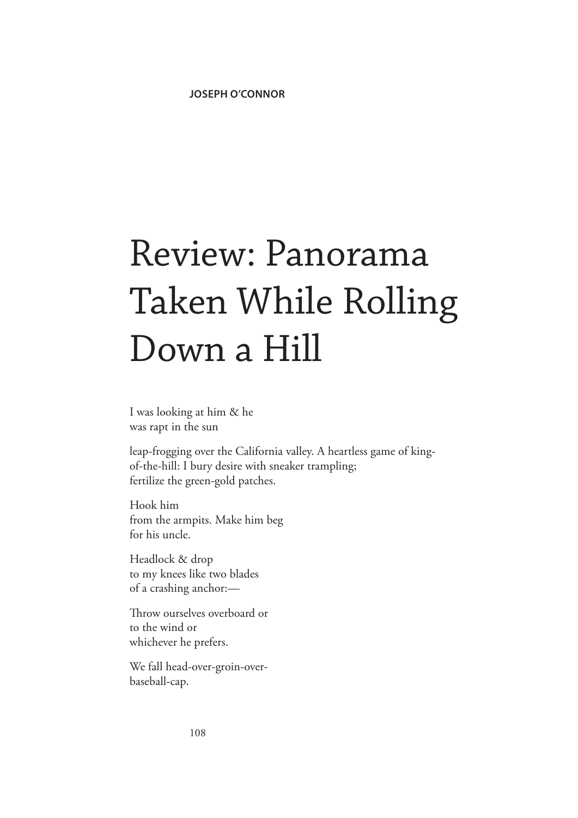## Review: Panorama Taken While Rolling Down a Hill

I was looking at him & he was rapt in the sun

leap-frogging over the California valley. A heartless game of kingof-the-hill: I bury desire with sneaker trampling; fertilize the green-gold patches.

Hook him from the armpits. Make him beg for his uncle.

Headlock & drop to my knees like two blades of a crashing anchor:—

Throw ourselves overboard or to the wind or whichever he prefers.

We fall head-over-groin-overbaseball-cap.